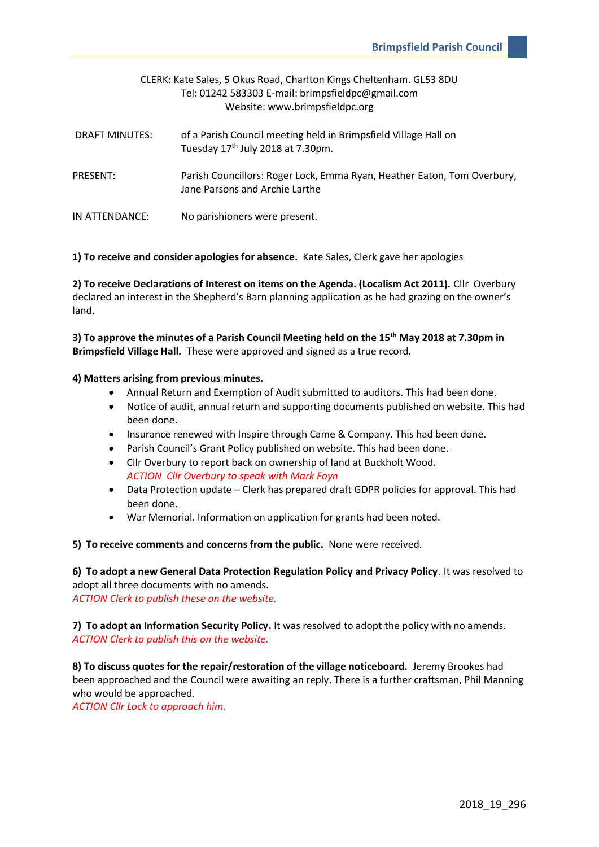| CLERK: Kate Sales, 5 Okus Road, Charlton Kings Cheltenham. GL53 8DU<br>Tel: 01242 583303 E-mail: brimpsfieldpc@gmail.com<br>Website: www.brimpsfieldpc.org |                                                                                                                  |  |  |  |
|------------------------------------------------------------------------------------------------------------------------------------------------------------|------------------------------------------------------------------------------------------------------------------|--|--|--|
| <b>DRAFT MINUTES:</b>                                                                                                                                      | of a Parish Council meeting held in Brimpsfield Village Hall on<br>Tuesday 17 <sup>th</sup> July 2018 at 7.30pm. |  |  |  |
| PRESENT:                                                                                                                                                   | Parish Councillors: Roger Lock, Emma Ryan, Heather Eaton, Tom Overbury,<br>Jane Parsons and Archie Larthe        |  |  |  |
| IN ATTENDANCE:                                                                                                                                             | No parishioners were present.                                                                                    |  |  |  |

## **1) To receive and consider apologies for absence.** Kate Sales, Clerk gave her apologies

**2) To receive Declarations of Interest on items on the Agenda. (Localism Act 2011).** Cllr Overbury declared an interest in the Shepherd's Barn planning application as he had grazing on the owner's land.

**3) To approve the minutes of a Parish Council Meeting held on the 15th May 2018 at 7.30pm in Brimpsfield Village Hall.** These were approved and signed as a true record.

## **4) Matters arising from previous minutes.**

- Annual Return and Exemption of Audit submitted to auditors. This had been done.
- Notice of audit, annual return and supporting documents published on website. This had been done.
- Insurance renewed with Inspire through Came & Company. This had been done.
- Parish Council's Grant Policy published on website. This had been done.
- Cllr Overbury to report back on ownership of land at Buckholt Wood. *ACTION Cllr Overbury to speak with Mark Foyn*
- Data Protection update Clerk has prepared draft GDPR policies for approval. This had been done.
- War Memorial. Information on application for grants had been noted.

**5) To receive comments and concerns from the public.** None were received.

**6) To adopt a new General Data Protection Regulation Policy and Privacy Policy**. It was resolved to adopt all three documents with no amends. *ACTION Clerk to publish these on the website.* 

**7) To adopt an Information Security Policy.** It was resolved to adopt the policy with no amends. *ACTION Clerk to publish this on the website.* 

**8) To discuss quotes for the repair/restoration of the village noticeboard.** Jeremy Brookes had been approached and the Council were awaiting an reply. There is a further craftsman, Phil Manning who would be approached.

*ACTION Cllr Lock to approach him.*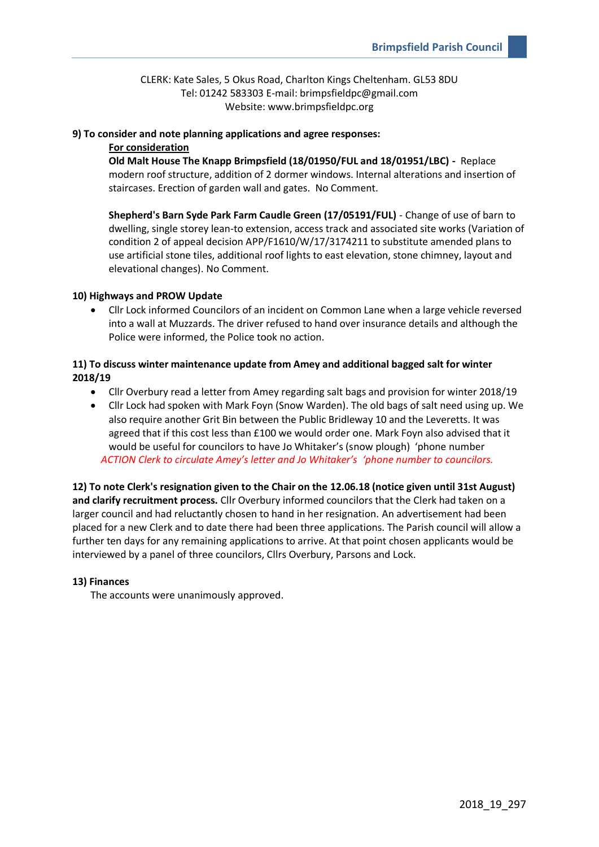CLERK: Kate Sales, 5 Okus Road, Charlton Kings Cheltenham. GL53 8DU Tel: 01242 583303 E-mail: brimpsfieldpc@gmail.com Website: www.brimpsfieldpc.org

# **9) To consider and note planning applications and agree responses:**

# **For consideration**

**Old Malt House The Knapp Brimpsfield (18/01950/FUL and 18/01951/LBC) -** Replace modern roof structure, addition of 2 dormer windows. Internal alterations and insertion of staircases. Erection of garden wall and gates. No Comment.

**Shepherd's Barn Syde Park Farm Caudle Green (17/05191/FUL)** - Change of use of barn to dwelling, single storey lean-to extension, access track and associated site works (Variation of condition 2 of appeal decision APP/F1610/W/17/3174211 to substitute amended plans to use artificial stone tiles, additional roof lights to east elevation, stone chimney, layout and elevational changes). No Comment.

# **10) Highways and PROW Update**

• Cllr Lock informed Councilors of an incident on Common Lane when a large vehicle reversed into a wall at Muzzards. The driver refused to hand over insurance details and although the Police were informed, the Police took no action.

# **11) To discuss winter maintenance update from Amey and additional bagged salt for winter 2018/19**

- Cllr Overbury read a letter from Amey regarding salt bags and provision for winter 2018/19
- Cllr Lock had spoken with Mark Foyn (Snow Warden). The old bags of salt need using up. We also require another Grit Bin between the Public Bridleway 10 and the Leveretts. It was agreed that if this cost less than £100 we would order one. Mark Foyn also advised that it would be useful for councilors to have Jo Whitaker's (snow plough) 'phone number *ACTION Clerk to circulate Amey's letter and Jo Whitaker's 'phone number to councilors.*

**12) To note Clerk's resignation given to the Chair on the 12.06.18 (notice given until 31st August) and clarify recruitment process.** Cllr Overbury informed councilors that the Clerk had taken on a larger council and had reluctantly chosen to hand in her resignation. An advertisement had been placed for a new Clerk and to date there had been three applications. The Parish council will allow a further ten days for any remaining applications to arrive. At that point chosen applicants would be interviewed by a panel of three councilors, Cllrs Overbury, Parsons and Lock.

## **13) Finances**

The accounts were unanimously approved.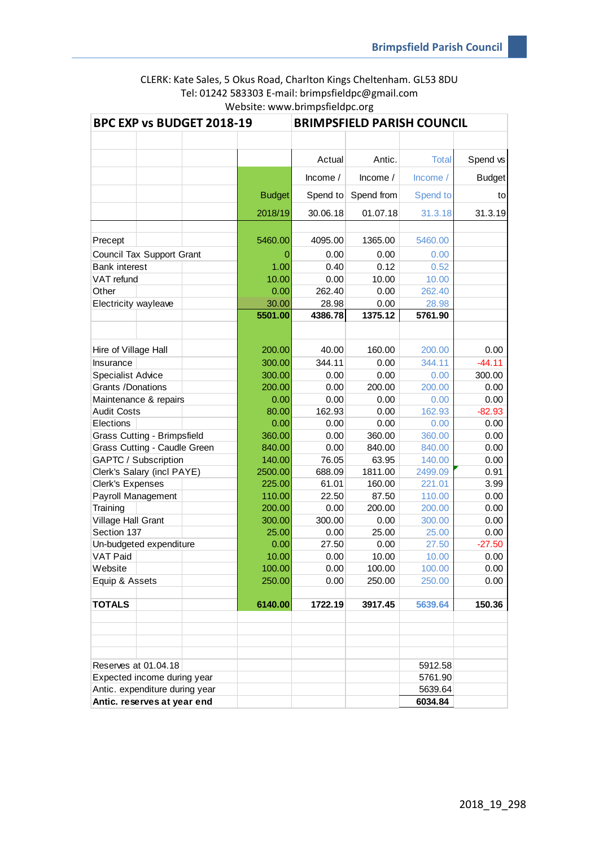# CLERK: Kate Sales, 5 Okus Road, Charlton Kings Cheltenham. GL53 8DU Tel: 01242 583303 E-mail: brimpsfieldpc@gmail.com Website: www.brimpsfieldpc.org

| BPC EXP vs BUDGET 2018-19          |  | <b>BRIMPSFIELD PARISH COUNCIL</b> |               |            |            |          |               |
|------------------------------------|--|-----------------------------------|---------------|------------|------------|----------|---------------|
|                                    |  |                                   |               |            |            |          |               |
|                                    |  |                                   |               | Actual     | Antic.     | Total    | Spend vs      |
|                                    |  |                                   |               | Income $/$ | Income $/$ | Income/  | <b>Budget</b> |
|                                    |  |                                   | <b>Budget</b> | Spend to   | Spend from | Spend to | to            |
|                                    |  |                                   | 2018/19       | 30.06.18   | 01.07.18   | 31.3.18  | 31.3.19       |
|                                    |  |                                   |               |            |            |          |               |
| Precept                            |  |                                   | 5460.00       | 4095.00    | 1365.00    | 5460.00  |               |
| Council Tax Support Grant          |  |                                   | 0             | 0.00       | 0.00       | 0.00     |               |
| <b>Bank interest</b>               |  |                                   | 1.00          | 0.40       | 0.12       | 0.52     |               |
| VAT refund                         |  |                                   | 10.00         | 0.00       | 10.00      | 10.00    |               |
| Other                              |  |                                   | 0.00          | 262.40     | 0.00       | 262.40   |               |
| Electricity wayleave               |  |                                   | 30.00         | 28.98      | 0.00       | 28.98    |               |
|                                    |  |                                   | 5501.00       | 4386.78    | 1375.12    | 5761.90  |               |
|                                    |  |                                   |               |            |            |          |               |
| Hire of Village Hall               |  |                                   | 200.00        | 40.00      | 160.00     | 200.00   | 0.00          |
| Insurance                          |  |                                   | 300.00        | 344.11     | 0.00       | 344.11   | $-44.11$      |
| <b>Specialist Advice</b>           |  |                                   | 300.00        | 0.00       | 0.00       | 0.00     | 300.00        |
| Grants /Donations                  |  |                                   | 200.00        | 0.00       | 200.00     | 200.00   | 0.00          |
| Maintenance & repairs              |  |                                   | 0.00          | 0.00       | 0.00       | 0.00     | 0.00          |
| <b>Audit Costs</b>                 |  |                                   | 80.00         | 162.93     | 0.00       | 162.93   | $-82.93$      |
| Elections                          |  |                                   | 0.00          | 0.00       | 0.00       | 0.00     | 0.00          |
| <b>Grass Cutting - Brimpsfield</b> |  |                                   | 360.00        | 0.00       | 360.00     | 360.00   | 0.00          |
| Grass Cutting - Caudle Green       |  | 840.00                            | 0.00          | 840.00     | 840.00     | 0.00     |               |
| GAPTC / Subscription               |  | 140.00                            | 76.05         | 63.95      | 140.00     | 0.00     |               |
| Clerk's Salary (incl PAYE)         |  |                                   | 2500.00       | 688.09     | 1811.00    | 2499.09  | 0.91          |
| Clerk's Expenses                   |  |                                   | 225.00        | 61.01      | 160.00     | 221.01   | 3.99          |
| Payroll Management                 |  |                                   | 110.00        | 22.50      | 87.50      | 110.00   | 0.00          |
| Training                           |  |                                   | 200.00        | 0.00       | 200.00     | 200.00   | 0.00          |
| Village Hall Grant                 |  |                                   | 300.00        | 300.00     | 0.00       | 300.00   | 0.00          |
| Section 137                        |  |                                   | 25.00         | 0.00       | 25.00      | 25.00    | 0.00          |
| Un-budgeted expenditure            |  |                                   | 0.00          | 27.50      | 0.00       | 27.50    | $-27.50$      |
| VAT Paid                           |  |                                   | 10.00         | 0.00       | 10.00      | 10.00    | 0.00          |
| Website                            |  |                                   | 100.00        | 0.00       | 100.00     | 100.00   | 0.00          |
| Equip & Assets                     |  |                                   | 250.00        | 0.00       | 250.00     | 250.00   | 0.00          |
| <b>TOTALS</b>                      |  |                                   | 6140.00       | 1722.19    | 3917.45    | 5639.64  | 150.36        |
|                                    |  |                                   |               |            |            |          |               |
| Reserves at 01.04.18               |  |                                   |               |            |            | 5912.58  |               |
| Expected income during year        |  |                                   |               |            | 5761.90    |          |               |
| Antic. expenditure during year     |  |                                   |               |            | 5639.64    |          |               |
| Antic. reserves at year end        |  |                                   |               |            |            | 6034.84  |               |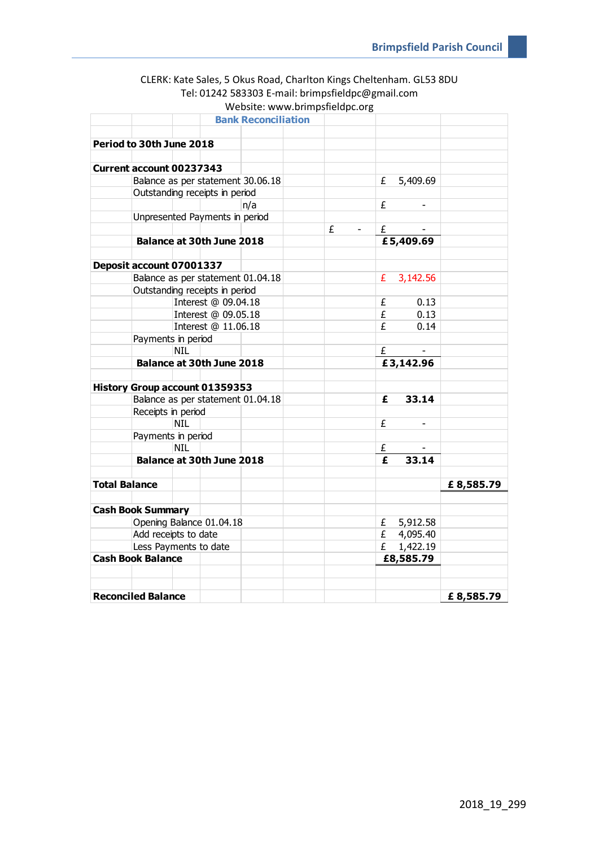| CLERK: Kate Sales, 5 Okus Road, Charlton Kings Cheltenham. GL53 8DU |
|---------------------------------------------------------------------|
| Tel: 01242 583303 E-mail: brimpsfieldpc@gmail.com                   |
| Website: www.brimpsfieldpc.org                                      |

|                                       | <b>Bank Reconciliation</b> |   |                      |           |
|---------------------------------------|----------------------------|---|----------------------|-----------|
|                                       |                            |   |                      |           |
| Period to 30th June 2018              |                            |   |                      |           |
|                                       |                            |   |                      |           |
| <b>Current account 00237343</b>       |                            |   |                      |           |
| Balance as per statement 30.06.18     |                            |   | 5,409.69<br>£        |           |
| Outstanding receipts in period        |                            |   |                      |           |
|                                       | n/a                        |   | £                    |           |
| Unpresented Payments in period        |                            |   |                      |           |
|                                       |                            | £ | £                    |           |
| Balance at 30th June 2018             |                            |   | £5,409.69            |           |
|                                       |                            |   |                      |           |
| Deposit account 07001337              |                            |   |                      |           |
| Balance as per statement 01.04.18     |                            |   | 3,142.56<br>£.       |           |
| Outstanding receipts in period        |                            |   |                      |           |
|                                       | Interest @ 09.04.18        |   | £<br>0.13            |           |
|                                       | Interest @ 09.05.18        |   | 0.13<br>$\mathbf{f}$ |           |
|                                       | Interest @ 11.06.18        |   | 0.14<br>£            |           |
| Payments in period                    |                            |   |                      |           |
| <b>NIL</b>                            |                            |   | £                    |           |
| Balance at 30th June 2018             |                            |   | £3,142.96            |           |
|                                       |                            |   |                      |           |
| <b>History Group account 01359353</b> |                            |   |                      |           |
| Balance as per statement 01.04.18     |                            |   | 33.14<br>£           |           |
| Receipts in period                    |                            |   |                      |           |
| <b>NIL</b>                            |                            |   | £                    |           |
| Payments in period                    |                            |   |                      |           |
| <b>NTL</b>                            |                            |   | £                    |           |
| <b>Balance at 30th June 2018</b>      |                            |   | 33.14<br>£           |           |
|                                       |                            |   |                      |           |
| <b>Total Balance</b>                  |                            |   |                      | £8,585.79 |
|                                       |                            |   |                      |           |
| <b>Cash Book Summary</b>              |                            |   |                      |           |
| Opening Balance 01.04.18              |                            |   | $E = 5,912.58$       |           |
| Add receipts to date                  |                            |   | £ 4,095.40           |           |
| Less Payments to date                 |                            |   | 1,422.19<br>£        |           |
| <b>Cash Book Balance</b>              |                            |   | £8,585.79            |           |
|                                       |                            |   |                      |           |
|                                       |                            |   |                      |           |
| <b>Reconciled Balance</b>             |                            |   |                      | £8,585.79 |